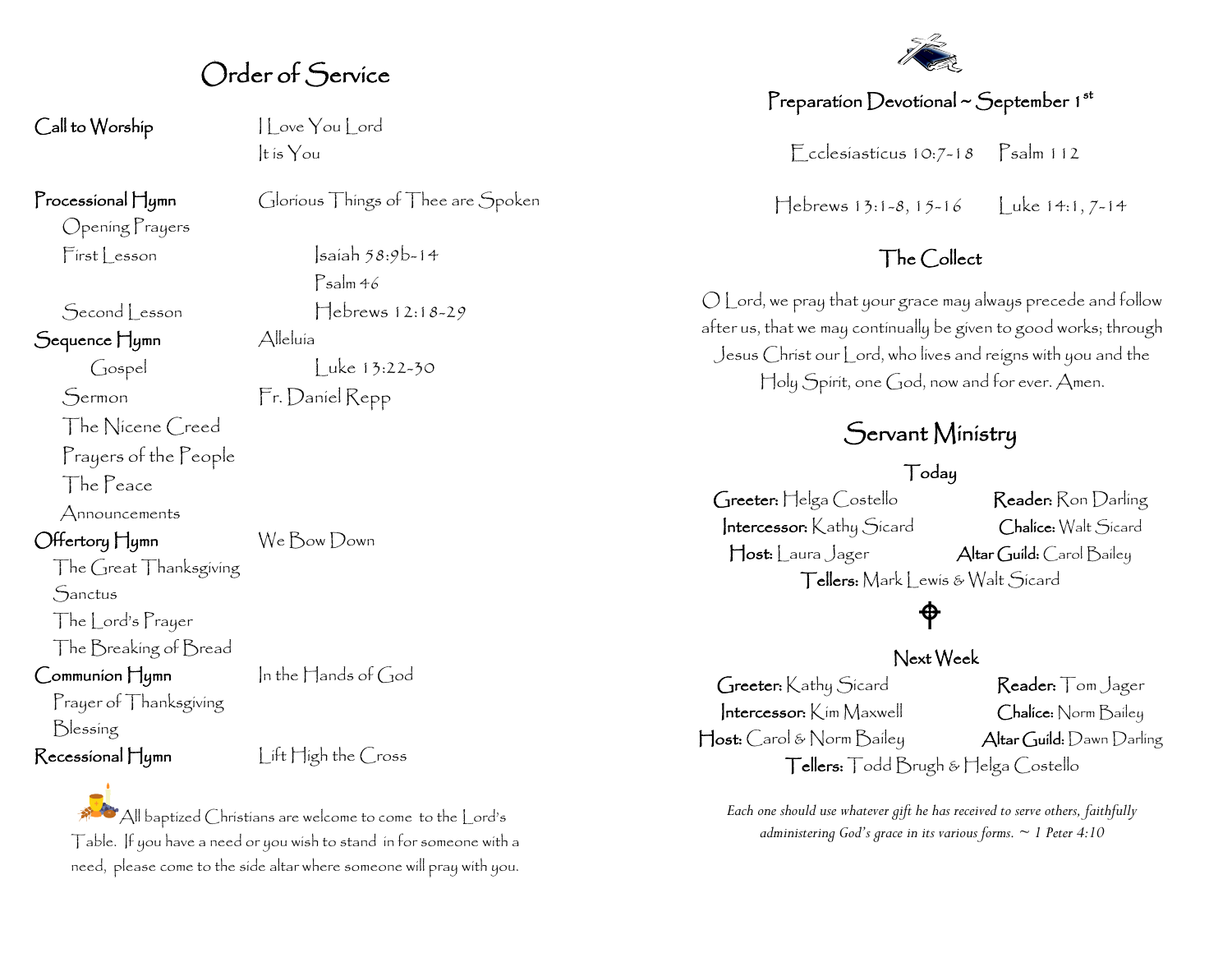Order of Service

Call to Worship I Love You Lord

Opening Prayers

Sequence Hymn Alleluía

Sermon Fr. Daniel Repp The Nicene Creed Prayers of the People

The Peace

Announcements

The Great Thanksgiving

**Sanctus** 

The Lord's Prayer

The Breaking of Bread

 $Common$   $\Box$  In the  $\Box$  ands of  $God$ 

Prayer of Thanksgiving Blessing

Recessional Hymn lift High the Cross

All baptized Christians are welcome to come to the Lord's Table. If you have a need or you wish to stand in for someone with a need, please come to the side altar where someone will pray with you.

It is You

Processional Hymn Glorious Things of Thee are Spoken

 $First less on$   $|sain 58:9b-14$ Psalm 46 Second Lesson Hebrews 12:18-29

Gospel Luke 13:22-30

Offertory Hymn We Bow Down



#### Preparation Devotional  $\sim$  September 1st

Ecclesiasticus 10:7-18 Psalm 112

 $\text{Hebrews } 13:1-8, 15-16$  Luke 14:1, 7-14

#### The Collect

O Lord, we pray that your grace may always precede and follow after us, that we may continually be given to good works; through Jesus Christ our Lord, who lives and reigns with you and the Holy Spirit, one God, now and for ever. Amen.

### Servant Ministry

#### Today

Greeter: Helga Costello Reader: Ron Darling Intercessor: Kathy Sicard Chalice: Walt Sicard Host: Laura Jager Altar Guild: Carol Bailey Tellers: Mark | ewis & Walt Sicard

## ♦

#### Next Week

Greeter: Kathy Sicard Reader: Tom Jager Intercessor: Kim Maxwell Chalice: Norm Bailey Host: Carol & Norm Bailey Altar Guild: Dawn Darling Tellers: Todd Brugh & Helga Costello

*Each one should use whatever gift he has received to serve others, faithfully administering God's grace in its various forms. ~ 1 Peter 4:10*